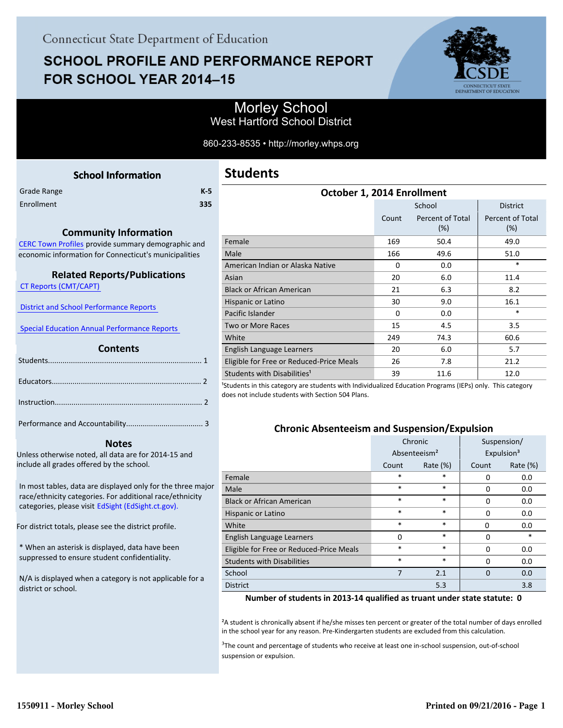# **SCHOOL PROFILE AND PERFORMANCE REPORT** FOR SCHOOL YEAR 2014-15



## Morley School West Hartford School District

860-233-8535 • http://morley.whps.org

<span id="page-0-0"></span>

|             | <b>School Information</b> |     |
|-------------|---------------------------|-----|
| Grade Range |                           | K-5 |
| Enrollment  |                           | 335 |
|             |                           |     |

## **Community Information**

[CERC Town Profiles provide summary demographic and](http://www.cerc.com/townprofiles/) economic information for Connecticut's municipalities

#### **Related Reports/Publications**

 [CT Reports \(CMT/CAPT\)](http://ctreports.com/) 

 [District and School Performance Reports](http://www.csde.state.ct.us/public/performancereports/reports.asp) 

 [Special Education Annual Performance Reports](http://edsight.ct.gov/SASPortal/main.do) 

#### **Contents**

 **Notes**

Unless otherwise noted, all data are for 2014-15 and include all grades offered by the school.

[In most tables, data are displayed only for the three major](http://edsight.ct.gov) race/ethnicity categories. For additional race/ethnicity categories, please visit EdSight (EdSight.ct.gov).

For district totals, please see the district profile.

\* When an asterisk is displayed, data have been suppressed to ensure student confidentiality.

N/A is displayed when a category is not applicable for a district or school.

| October 1, 2014 Enrollment               |          |                         |                         |  |  |  |
|------------------------------------------|----------|-------------------------|-------------------------|--|--|--|
|                                          |          | School                  | <b>District</b>         |  |  |  |
|                                          | Count    | Percent of Total<br>(%) | Percent of Total<br>(%) |  |  |  |
| Female                                   | 169      | 50.4                    | 49.0                    |  |  |  |
| Male                                     | 166      | 49.6                    | 51.0                    |  |  |  |
| American Indian or Alaska Native         | $\Omega$ | 0.0                     | $\ast$                  |  |  |  |
| Asian                                    | 20       | 6.0                     | 11.4                    |  |  |  |
| <b>Black or African American</b>         | 21       | 6.3                     | 8.2                     |  |  |  |
| Hispanic or Latino                       | 30       | 9.0                     | 16.1                    |  |  |  |
| Pacific Islander                         | $\Omega$ | 0.0                     | $\ast$                  |  |  |  |
| <b>Two or More Races</b>                 | 15       | 4.5                     | 3.5                     |  |  |  |
| White                                    | 249      | 74.3                    | 60.6                    |  |  |  |
| English Language Learners                | 20       | 6.0                     | 5.7                     |  |  |  |
| Eligible for Free or Reduced-Price Meals | 26       | 7.8                     | 21.2                    |  |  |  |
| Students with Disabilities <sup>1</sup>  | 39       | 11.6                    | 12.0                    |  |  |  |

<sup>1</sup>Students in this category are students with Individualized Education Programs (IEPs) only. This category does not include students with Section 504 Plans.

#### **Chronic Absenteeism and Suspension/Expulsion**

|                                          | Chronic                  |             | Suspension/ |                        |
|------------------------------------------|--------------------------|-------------|-------------|------------------------|
|                                          | Absenteeism <sup>2</sup> |             |             | Expulsion <sup>3</sup> |
|                                          | Count                    | Rate $(\%)$ | Count       | Rate (%)               |
| Female                                   | $\ast$                   | $\ast$      | $\Omega$    | 0.0                    |
| Male                                     | $\ast$                   | $\ast$      | 0           | 0.0                    |
| <b>Black or African American</b>         | $\ast$                   | $\ast$      | O           | 0.0                    |
| Hispanic or Latino                       | $\ast$                   | $\ast$      | $\Omega$    | 0.0                    |
| White                                    | $\ast$                   | $\ast$      | $\Omega$    | 0.0                    |
| English Language Learners                | 0                        | $\ast$      | 0           | $\ast$                 |
| Eligible for Free or Reduced-Price Meals | $\ast$                   | $\ast$      | $\Omega$    | 0.0                    |
| <b>Students with Disabilities</b>        | $\ast$                   | $\ast$      | O           | 0.0                    |
| School                                   | 7                        | 2.1         | $\Omega$    | 0.0                    |
| <b>District</b>                          |                          | 5.3         |             | 3.8                    |

#### **Number of students in 2013-14 qualified as truant under state statute: 0**

²A student is chronically absent if he/she misses ten percent or greater of the total number of days enrolled in the school year for any reason. Pre-Kindergarten students are excluded from this calculation.

<sup>3</sup>The count and percentage of students who receive at least one in-school suspension, out-of-school suspension or expulsion.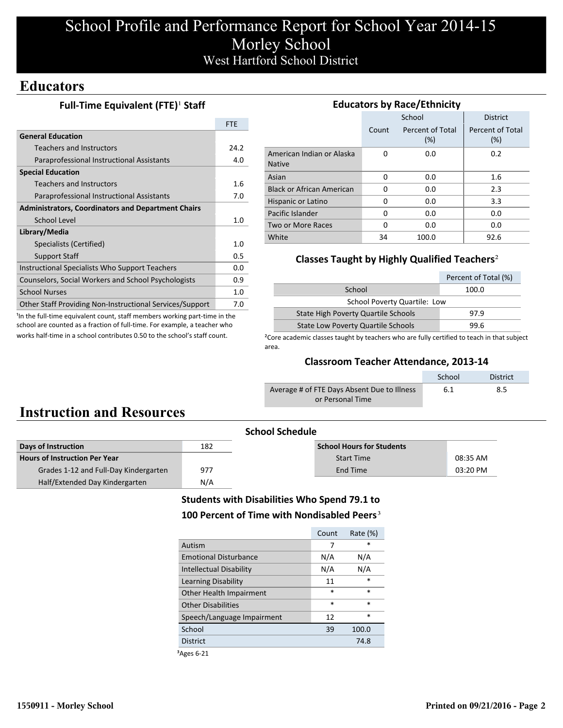# School Profile and Performance Report for School Year 2014-15 Morley School West Hartford School District

# **Educators**

## **Full-Time Equivalent (FTE)<sup>1</sup> Staff**

|                                                           | <b>FTF</b> |
|-----------------------------------------------------------|------------|
| <b>General Education</b>                                  |            |
| Teachers and Instructors                                  | 24.2       |
| Paraprofessional Instructional Assistants                 | 4.0        |
| <b>Special Education</b>                                  |            |
| Teachers and Instructors                                  | 1.6        |
| Paraprofessional Instructional Assistants                 | 7.0        |
| <b>Administrators, Coordinators and Department Chairs</b> |            |
| School Level                                              | 1.0        |
| Library/Media                                             |            |
| Specialists (Certified)                                   | 1.0        |
| <b>Support Staff</b>                                      | 0.5        |
| Instructional Specialists Who Support Teachers            | 0.0        |
| Counselors, Social Workers and School Psychologists       | 0.9        |
| <b>School Nurses</b>                                      | 1.0        |
| Other Staff Providing Non-Instructional Services/Support  | 7.0        |

<sup>1</sup>In the full-time equivalent count, staff members working part-time in the school are counted as a fraction of full-time. For example, a teacher who works half-time in a school contributes 0.50 to the school's staff count.

| <b>Educators by Race/Ethnicity</b>         |          |                         |                         |  |  |
|--------------------------------------------|----------|-------------------------|-------------------------|--|--|
|                                            |          | School                  | <b>District</b>         |  |  |
|                                            | Count    | Percent of Total<br>(%) | Percent of Total<br>(%) |  |  |
| American Indian or Alaska<br><b>Native</b> | O        | 0.0                     | 0.2                     |  |  |
| Asian                                      | 0        | 0.0                     | 1.6                     |  |  |
| <b>Black or African American</b>           | O        | 0.0                     | 2.3                     |  |  |
| Hispanic or Latino                         | O        | 0.0                     | 3.3                     |  |  |
| Pacific Islander                           | $\Omega$ | 0.0                     | 0.0                     |  |  |
| Two or More Races                          | O        | 0.0                     | 0.0                     |  |  |
| White                                      | 34       | 100.0                   | 92.6                    |  |  |

### **Classes Taught by Highly Qualified Teachers**²

|                                           | Percent of Total (%) |  |  |  |
|-------------------------------------------|----------------------|--|--|--|
| School                                    | 100.0                |  |  |  |
| School Poverty Quartile: Low              |                      |  |  |  |
| State High Poverty Quartile Schools       | 97.9                 |  |  |  |
| <b>State Low Poverty Quartile Schools</b> | 99.6                 |  |  |  |

<sup>2</sup>Core academic classes taught by teachers who are fully certified to teach in that subject area.

### **Classroom Teacher Attendance, 2013-14**

|                                             | School | <b>District</b> |
|---------------------------------------------|--------|-----------------|
| Average # of FTE Days Absent Due to Illness | 6.1    | 8.5             |
| or Personal Time                            |        |                 |

# **Instruction and Resources**

|                                       |     | <b>School Schedule</b>           |          |
|---------------------------------------|-----|----------------------------------|----------|
| Days of Instruction                   | 182 | <b>School Hours for Students</b> |          |
| <b>Hours of Instruction Per Year</b>  |     | <b>Start Time</b>                | 08:35 AM |
| Grades 1-12 and Full-Day Kindergarten | 977 | End Time                         | 03:20 PM |
| Half/Extended Day Kindergarten        | N/A |                                  |          |

### **Students with Disabilities Who Spend 79.1 to** 100 Percent of Time with Nondisabled Peers<sup>3</sup>

| *      |
|--------|
|        |
| N/A    |
| N/A    |
| $\ast$ |
| $\ast$ |
| $\ast$ |
| $\ast$ |
| 100.0  |
| 74.8   |
|        |

³Ages 6-21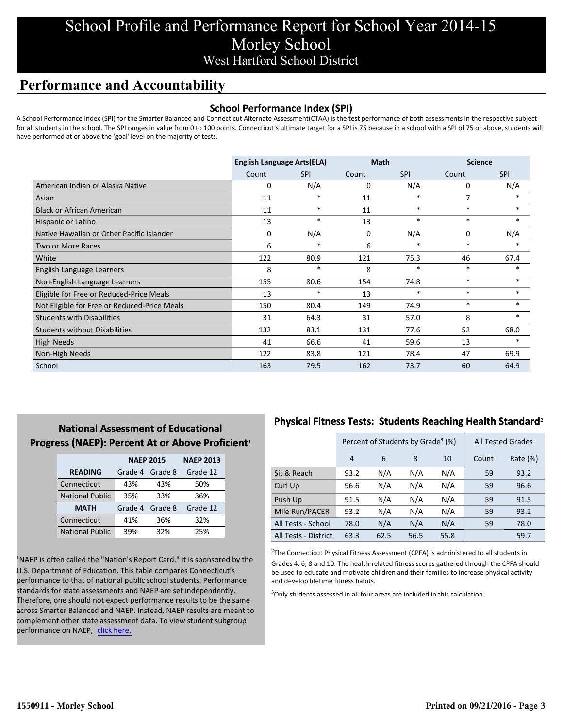# School Profile and Performance Report for School Year 2014-15 Morley School West Hartford School District

# **Performance and Accountability**

### **School Performance Index (SPI)**

A School Performance Index (SPI) for the Smarter Balanced and Connecticut Alternate Assessment(CTAA) is the test performance of both assessments in the respective subject for all students in the school. The SPI ranges in value from 0 to 100 points. Connecticut's ultimate target for a SPI is 75 because in a school with a SPI of 75 or above, students will have performed at or above the 'goal' level on the majority of tests.

|                                              | <b>English Language Arts(ELA)</b> |            | <b>Math</b> |            | <b>Science</b> |            |
|----------------------------------------------|-----------------------------------|------------|-------------|------------|----------------|------------|
|                                              | Count                             | <b>SPI</b> | Count       | <b>SPI</b> | Count          | <b>SPI</b> |
| American Indian or Alaska Native             | 0                                 | N/A        | 0           | N/A        | 0              | N/A        |
| Asian                                        | 11                                | $\ast$     | 11          | $\ast$     | 7              |            |
| <b>Black or African American</b>             | 11                                | $\ast$     | 11          | $\ast$     | $\ast$         | $\ast$     |
| Hispanic or Latino                           | 13                                | $\ast$     | 13          | $\ast$     | $\ast$         | $\ast$     |
| Native Hawaiian or Other Pacific Islander    | 0                                 | N/A        | 0           | N/A        | 0              | N/A        |
| Two or More Races                            | 6                                 | $\ast$     | 6           | $\ast$     | $\ast$         | $\ast$     |
| White                                        | 122                               | 80.9       | 121         | 75.3       | 46             | 67.4       |
| English Language Learners                    | 8                                 | $\ast$     | 8           | $\ast$     | $\ast$         | $\ast$     |
| Non-English Language Learners                | 155                               | 80.6       | 154         | 74.8       | $\ast$         | $\ast$     |
| Eligible for Free or Reduced-Price Meals     | 13                                | $\ast$     | 13          | $\ast$     | $\ast$         | $\ast$     |
| Not Eligible for Free or Reduced-Price Meals | 150                               | 80.4       | 149         | 74.9       | $\ast$         | $\ast$     |
| <b>Students with Disabilities</b>            | 31                                | 64.3       | 31          | 57.0       | 8              | *          |
| <b>Students without Disabilities</b>         | 132                               | 83.1       | 131         | 77.6       | 52             | 68.0       |
| High Needs                                   | 41                                | 66.6       | 41          | 59.6       | 13             | $\ast$     |
| Non-High Needs                               | 122                               | 83.8       | 121         | 78.4       | 47             | 69.9       |
| School                                       | 163                               | 79.5       | 162         | 73.7       | 60             | 64.9       |

## **National Assessment of Educational Progress (NAEP): Percent At or Above Proficient1**

|                        | <b>NAEP 2015</b> | <b>NAEP 2013</b> |          |
|------------------------|------------------|------------------|----------|
| <b>READING</b>         | Grade 4          | Grade 8          | Grade 12 |
| Connecticut            | 43%              | 43%              | 50%      |
| <b>National Public</b> | 35%              | 33%              | 36%      |
| <b>MATH</b>            | Grade 4          | Grade 8          | Grade 12 |
| Connecticut            | 41%              | 36%              | 32%      |
| <b>National Public</b> | 39%              | 32%              | 25%      |

<sup>1</sup>NAEP is often called the "Nation's Report Card." It is sponsored by the U.S. Department of Education. This table compares Connecticut's performance to that of national public school students. Performance standards for state assessments and NAEP are set independently. Therefore, one should not expect performance results to be the same across Smarter Balanced and NAEP. Instead, NAEP results are meant to complement other state assessment data. To view student subgroup performance on NAEP, click here.

## **Physical Fitness Tests: Students Reaching Health Standard**²

|                      | Percent of Students by Grade <sup>3</sup> (%) |      |      |      | <b>All Tested Grades</b> |          |
|----------------------|-----------------------------------------------|------|------|------|--------------------------|----------|
|                      | $\overline{4}$                                | 6    | 8    | 10   | Count                    | Rate (%) |
| Sit & Reach          | 93.2                                          | N/A  | N/A  | N/A  | 59                       | 93.2     |
| Curl Up              | 96.6                                          | N/A  | N/A  | N/A  | 59                       | 96.6     |
| Push Up              | 91.5                                          | N/A  | N/A  | N/A  | 59                       | 91.5     |
| Mile Run/PACER       | 93.2                                          | N/A  | N/A  | N/A  | 59                       | 93.2     |
| All Tests - School   | 78.0                                          | N/A  | N/A  | N/A  | 59                       | 78.0     |
| All Tests - District | 63.3                                          | 62.5 | 56.5 | 55.8 |                          | 59.7     |

 $2$ The Connecticut Physical Fitness Assessment (CPFA) is administered to all students in Grades 4, 6, 8 and 10. The health-related fitness scores gathered through the CPFA should be used to educate and motivate children and their families to increase physical activity and develop lifetime fitness habits.

<sup>3</sup>Only students assessed in all four areas are included in this calculation.